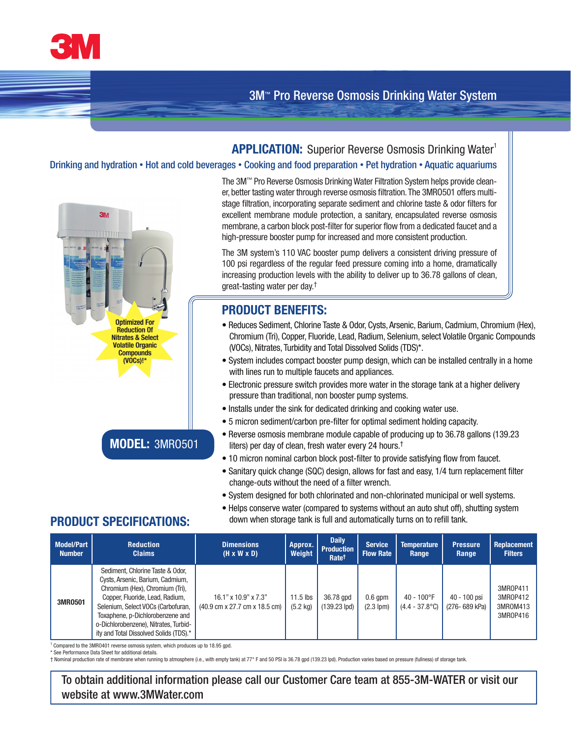

## **APPLICATION:** Superior Reverse Osmosis Drinking Water<sup>1</sup>

#### Drinking and hydration • Hot and cold beverages • Cooking and food preparation • Pet hydration • Aquatic aquariums



The 3M™ Pro Reverse Osmosis Drinking Water Filtration System helps provide cleaner, better tasting water through reverse osmosis filtration. The 3MR0501 offers multistage filtration, incorporating separate sediment and chlorine taste & odor filters for excellent membrane module protection, a sanitary, encapsulated reverse osmosis membrane, a carbon block post-filter for superior flow from a dedicated faucet and a high-pressure booster pump for increased and more consistent production.

The 3M system's 110 VAC booster pump delivers a consistent driving pressure of 100 psi regardless of the regular feed pressure coming into a home, dramatically increasing production levels with the ability to deliver up to 36.78 gallons of clean, great-tasting water per day.†

# **PRODUCT BENEFITS:**

- Reduces Sediment, Chlorine Taste & Odor, Cysts, Arsenic, Barium, Cadmium, Chromium (Hex), Chromium (Tri), Copper, Fluoride, Lead, Radium, Selenium, select Volatile Organic Compounds (VOCs), Nitrates, Turbidity and Total Dissolved Solids (TDS)\*.
- System includes compact booster pump design, which can be installed centrally in a home with lines run to multiple faucets and appliances.
- Electronic pressure switch provides more water in the storage tank at a higher delivery pressure than traditional, non booster pump systems.
- Installs under the sink for dedicated drinking and cooking water use.
- 5 micron sediment/carbon pre-filter for optimal sediment holding capacity.
- Reverse osmosis membrane module capable of producing up to 36.78 gallons (139.23 liters) per day of clean, fresh water every 24 hours.†
- 10 micron nominal carbon block post-filter to provide satisfying flow from faucet.
- Sanitary quick change (SQC) design, allows for fast and easy, 1/4 turn replacement filter change-outs without the need of a filter wrench.
- System designed for both chlorinated and non-chlorinated municipal or well systems.
- Helps conserve water (compared to systems without an auto shut off), shutting system **PRODUCT SPECIFICATIONS:** down when storage tank is full and automatically turns on to refill tank.

**MODEL:** 3MRO501

| <b>Model/Part</b><br><b>Number</b> | <b>Reduction</b><br><b>Claims</b>                                                                                                                                                                                                                                                                       | <b>Dimensions</b><br>$(H \times W \times D)$                   | Approx.<br>Weight                | <b>Daily</b><br><b>Production</b><br>Ratet | <b>Service</b><br><b>Flow Rate</b> | <b>Temperature</b><br><b>Range</b>       | <b>Pressure</b><br>Range       | <b>Replacement</b><br><b>Filters</b>         |
|------------------------------------|---------------------------------------------------------------------------------------------------------------------------------------------------------------------------------------------------------------------------------------------------------------------------------------------------------|----------------------------------------------------------------|----------------------------------|--------------------------------------------|------------------------------------|------------------------------------------|--------------------------------|----------------------------------------------|
| 3MR0501                            | Sediment, Chlorine Taste & Odor,<br>Cysts, Arsenic, Barium, Cadmium,<br>Chromium (Hex), Chromium (Tri),<br>Copper, Fluoride, Lead, Radium,<br>Selenium, Select VOCs (Carbofuran,<br>Toxaphene, p-Dichlorobenzene and<br>o-Dichlorobenzene), Nitrates, Turbid-<br>ity and Total Dissolved Solids (TDS).* | $16.1$ " x $10.9$ " x $7.3$ "<br>(40.9 cm x 27.7 cm x 18.5 cm) | $11.5$ lbs<br>$(5.2 \text{ kg})$ | 36.78 gpd<br>$(139.23$ lpd)                | $0.6$ qpm<br>$(2.3$ lpm $)$        | $40 - 100^{\circ}F$<br>$(4.4 - 37.8$ °C) | 40 - 100 psi<br>(276- 689 kPa) | 3MR0P411<br>3MR0P412<br>3MR0M413<br>3MR0P416 |

<sup>1</sup> Compared to the 3MR0401 reverse osmosis system, which produces up to 18.95 gpd.

See Performance Data Sheet for additional details.

† Nominal production rate of membrane when running to atmosphere (i.e., with empty tank) at 77° F and 50 PSI is 36.78 gpd (139.23 lpd). Production varies based on pressure (fullness) of storage tank.

To obtain additional information please call our Customer Care team at 855-3M-WATER or visit our website at www.3MWater.com